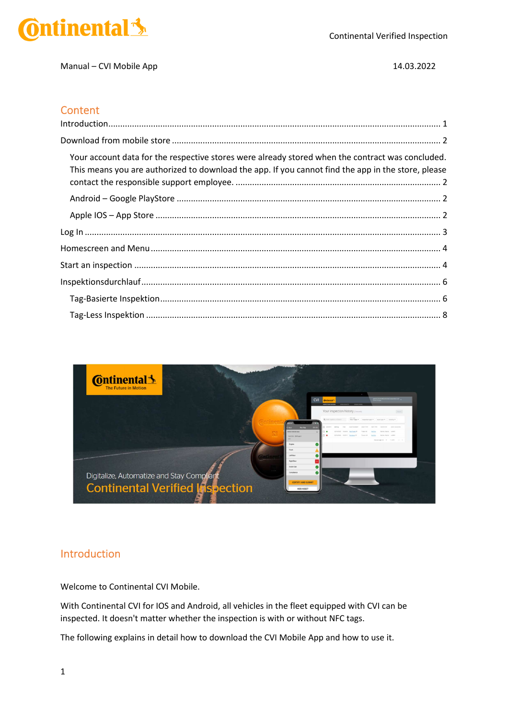

Manual – CVI Mobile App 14.03.2022

#### **Content**

| Your account data for the respective stores were already stored when the contract was concluded.<br>This means you are authorized to download the app. If you cannot find the app in the store, please |
|--------------------------------------------------------------------------------------------------------------------------------------------------------------------------------------------------------|
|                                                                                                                                                                                                        |
|                                                                                                                                                                                                        |
|                                                                                                                                                                                                        |
|                                                                                                                                                                                                        |
|                                                                                                                                                                                                        |
|                                                                                                                                                                                                        |
|                                                                                                                                                                                                        |
|                                                                                                                                                                                                        |



### Introduction

Welcome to Continental CVI Mobile.

With Continental CVI for IOS and Android, all vehicles in the fleet equipped with CVI can be inspected. It doesn't matter whether the inspection is with or without NFC tags.

The following explains in detail how to download the CVI Mobile App and how to use it.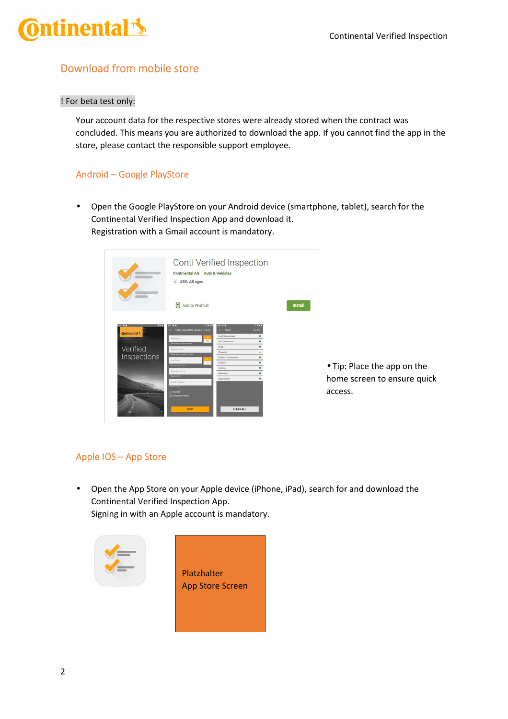

## Download from mobile store

#### ! For beta test only:

Your account data for the respective stores were already stored when the contract was concluded. This means you are authorized to download the app. If you cannot find the app in the store, please contact the responsible support employee.

### Android – Google PlayStore

• Open the Google PlayStore on your Android device (smartphone, tablet), search for the Continental Verified Inspection App and download it. Registration with a Gmail account is mandatory.

|                                 | <b>Continental AG Auto &amp; Vehicles</b><br>o USK: All ages |                               |               |                |
|---------------------------------|--------------------------------------------------------------|-------------------------------|---------------|----------------|
|                                 | Add to Wishlist                                              |                               |               | <b>Install</b> |
| 497 0 8<br>$\overline{a}$       | 497 0<br>871<br>Enter Inspection details 00:28<br>٠          | <b>ASS OF 1</b><br>Front<br>× | 0.71<br>00:49 |                |
| <b>Continental</b> <sup>5</sup> | $\blacksquare$<br>Odometer *                                 | Load Securement               |               |                |
|                                 | км<br>Value reported on the relocation                       | Air Connections               |               |                |
| Verified                        | Engine Hours                                                 | Body                          |               |                |
|                                 | Engine hours as reported on dash                             | Placards                      |               |                |
| Inspections                     | Foot Level                                                   | Electric Connections          |               |                |
|                                 | $\mathbf{L}$<br><b>Collegeboot Food In Term.</b>             | Kingpin<br>Lighting           |               |                |
|                                 | Shipping Doc #                                               | <b>Reflectors</b>             |               |                |
|                                 | <b>Shopping Doc #</b>                                        | Registration                  | ٠             |                |
|                                 | Route Number                                                 |                               |               |                |
|                                 | <b>Body rutter</b><br><b>CI Hazmat</b>                       |                               |               |                |
|                                 | Oversized Vehicle                                            |                               |               |                |
|                                 |                                                              |                               |               |                |

• Tip: Place the app on the home screen to ensure quick access.

### Apple IOS – App Store

• Open the App Store on your Apple device (iPhone, iPad), search for and download the Continental Verified Inspection App. Signing in with an Apple account is mandatory.

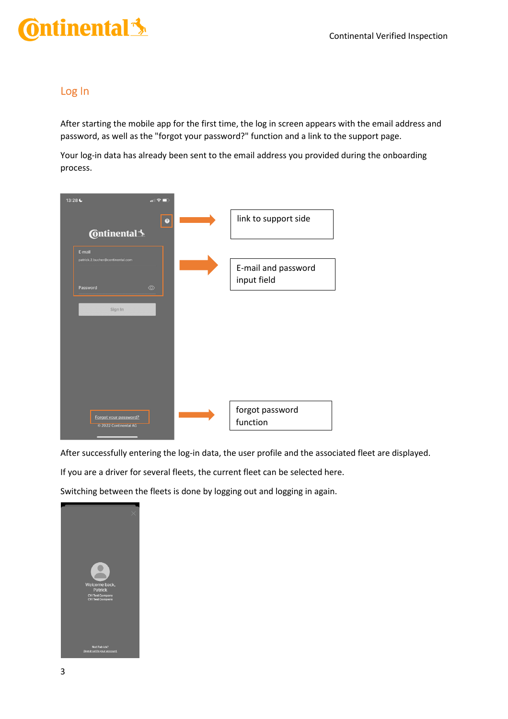# ntinental <u>\*</u>

### Log In

After starting the mobile app for the first time, the log in screen appears with the email address and password, as well as the "forgot your password?" function and a link to the support page.

Your log-in data has already been sent to the email address you provided during the onboarding process.



After successfully entering the log-in data, the user profile and the associated fleet are displayed.

If you are a driver for several fleets, the current fleet can be selected here.

Switching between the fleets is done by logging out and logging in again.

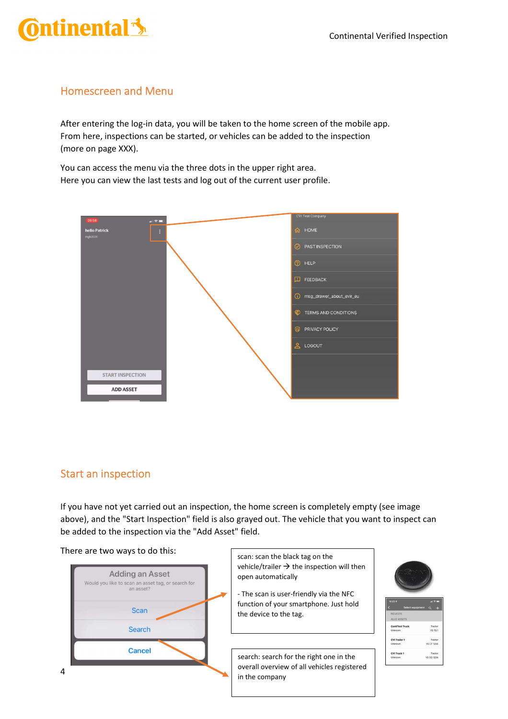## tinental <u>\*</u>

## Homescreen and Menu

After entering the log-in data, you will be taken to the home screen of the mobile app. From here, inspections can be started, or vehicles can be added to the inspection (more on page XXX).

You can access the menu via the three dots in the upper right area. Here you can view the last tests and log out of the current user profile.



## Start an inspection

If you have not yet carried out an inspection, the home screen is completely empty (see image above), and the "Start Inspection" field is also grayed out. The vehicle that you want to inspect can be added to the inspection via the "Add Asset" field.

There are two ways to do this:



scan: scan the black tag on the vehicle/trailer  $\rightarrow$  the inspection will then open automatically

- The scan is user-friendly via the NFC function of your smartphone. Just hold the device to the tag.

search: search for the right one in the overall overview of all vehicles registered in the company



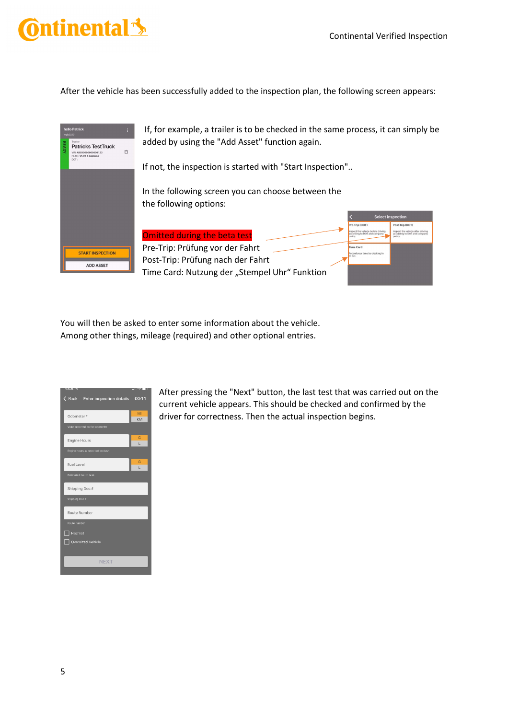# tinental <u>\*</u>

After the vehicle has been successfully added to the inspection plan, the following screen appears:



You will then be asked to enter some information about the vehicle. Among other things, mileage (required) and other optional entries.

| <b>ISH30 <!--</b--></b>               | Ⅲ ~1<br>朋 |
|---------------------------------------|-----------|
| ◇ Back Enter inspection details 00:11 |           |
| Odometer*                             | MI<br>KM  |
| Value reported on the odometer        |           |
| <b>Engine Hours</b>                   | G<br>L    |
| Engine hours as reported on dash      |           |
| <b>Fuel Level</b>                     | G<br>L    |
| Estimated fuel in tank                |           |
| Shipping Doc#                         |           |
| Shipping Doc #                        |           |
| Route Number                          |           |
| Route number                          |           |
| Hazmat                                |           |
| Oversized Vehicle                     |           |
| <b>NEXT</b>                           |           |
|                                       |           |

After pressing the "Next" button, the last test that was carried out on the current vehicle appears. This should be checked and confirmed by the driver for correctness. Then the actual inspection begins.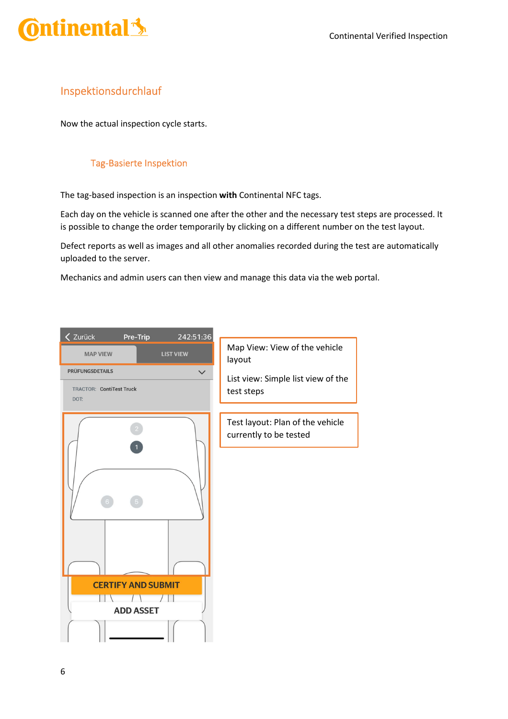

### Inspektionsdurchlauf

Now the actual inspection cycle starts.

#### Tag-Basierte Inspektion

The tag-based inspection is an inspection **with** Continental NFC tags.

Each day on the vehicle is scanned one after the other and the necessary test steps are processed. It is possible to change the order temporarily by clicking on a different number on the test layout.

Defect reports as well as images and all other anomalies recorded during the test are automatically uploaded to the server.

Mechanics and admin users can then view and manage this data via the web portal.

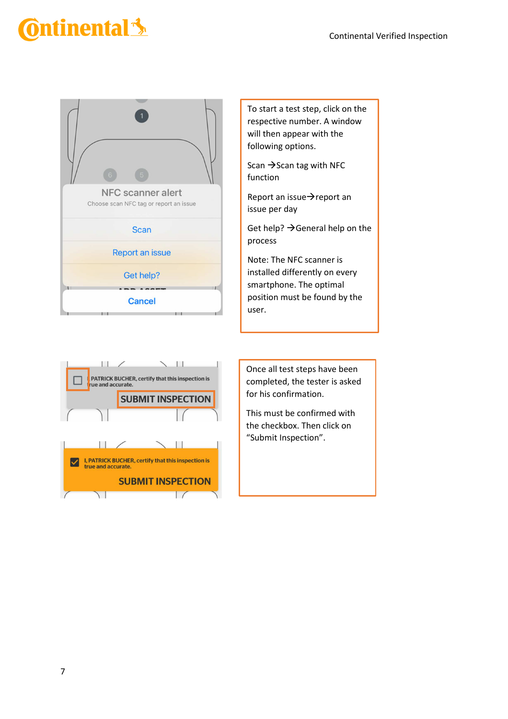# ntinental <u>\*</u>



To start a test step, click on the respective number. A window will then appear with the following options.

Scan  $\rightarrow$  Scan tag with NFC function

Report an issue $\rightarrow$ report an issue per day

Get help?  $\rightarrow$  General help on the process

Note: The NFC scanner is installed differently on every smartphone. The optimal position must be found by the user.



Once all test steps have been completed, the tester is asked for his confirmation.

This must be confirmed with the checkbox. Then click on "Submit Inspection".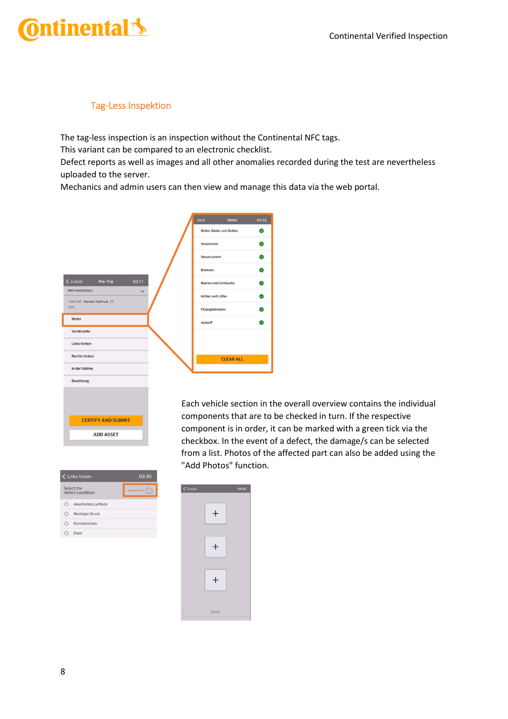## ntinental <u>\*</u>

### Tag-Less Inspektion

The tag-less inspection is an inspection without the Continental NFC tags.

This variant can be compared to an electronic checklist.

Defect reports as well as images and all other anomalies recorded during the test are nevertheless uploaded to the server.

Mechanics and admin users can then view and manage this data via the web portal.

| Reifen, Räder und Stollen<br>Suspension<br>Steuersystem<br>Bremsen<br>02:11<br>< Zurück<br>Pre-Trip<br>Riemen und Schläuche<br><b>PRÜFUNGSDETAILS</b><br>$\checkmark$<br>Kühler und Lüfter<br>TRACTOR: Patricks TestTruck FJ<br>DOT:<br>Flüssigkeitslecks<br>Motor<br>Auspuff<br>Vorderseite<br>Links hinten<br><b>Rechts hinten</b><br><b>CLEAR ALL</b><br>In der Kabine | Back<br>Motor | 03:02 |
|---------------------------------------------------------------------------------------------------------------------------------------------------------------------------------------------------------------------------------------------------------------------------------------------------------------------------------------------------------------------------|---------------|-------|
|                                                                                                                                                                                                                                                                                                                                                                           |               | ◙     |
|                                                                                                                                                                                                                                                                                                                                                                           |               | Ø     |
|                                                                                                                                                                                                                                                                                                                                                                           |               | Ø     |
|                                                                                                                                                                                                                                                                                                                                                                           |               | ◙     |
|                                                                                                                                                                                                                                                                                                                                                                           |               | ◙     |
|                                                                                                                                                                                                                                                                                                                                                                           |               | ☑     |
|                                                                                                                                                                                                                                                                                                                                                                           |               | Ø     |
|                                                                                                                                                                                                                                                                                                                                                                           |               | Ø     |
|                                                                                                                                                                                                                                                                                                                                                                           |               |       |
|                                                                                                                                                                                                                                                                                                                                                                           |               |       |
|                                                                                                                                                                                                                                                                                                                                                                           |               |       |
|                                                                                                                                                                                                                                                                                                                                                                           |               |       |
| Beachtung                                                                                                                                                                                                                                                                                                                                                                 |               |       |

Each vehicle section in the overall overview contains the individual components that are to be checked in turn. If the respective component is in order, it can be marked with a green tick via the checkbox. In the event of a defect, the damage/s can be selected from a list. Photos of the affected part can also be added using the "Add Photos" function.

|        | Links hinten                    | 03:30             |
|--------|---------------------------------|-------------------|
|        | Select the<br>defect condition: | <b>ADD PHOTOS</b> |
| $\cap$ | Akustisches Luftleck            |                   |
| c      | Niedriger Druck                 |                   |
|        | Durchstochen                    |                   |
|        | Eben                            |                   |

**CERTIFY AND SUBMIT ADD ASSET** 

| $<$ Zurück |        | 04:46 |
|------------|--------|-------|
|            | $^{+}$ |       |
|            | $^{+}$ |       |
|            | $^{+}$ |       |
|            | SAVE   |       |